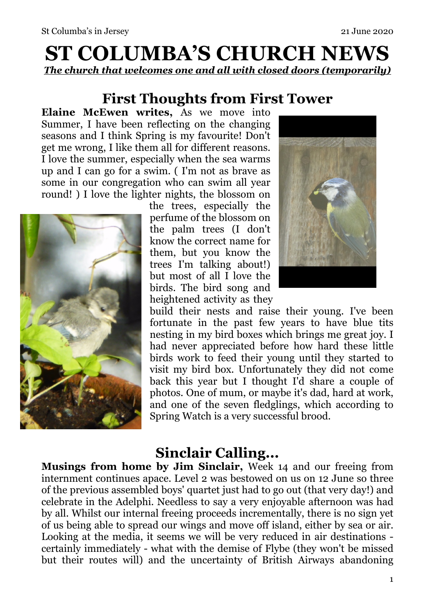# **ST COLUMBA'S CHURCH NEWS**  *The church that welcomes one and all with closed doors (temporarily)*

## **First Thoughts from First Tower**

**Elaine McEwen writes,** As we move into Summer, I have been reflecting on the changing seasons and I think Spring is my favourite! Don't get me wrong, I like them all for different reasons. I love the summer, especially when the sea warms up and I can go for a swim. ( I'm not as brave as some in our congregation who can swim all year round! ) I love the lighter nights, the blossom on



the trees, especially the perfume of the blossom on the palm trees (I don't know the correct name for them, but you know the trees I'm talking about!) but most of all I love the birds. The bird song and heightened activity as they



build their nests and raise their young. I've been fortunate in the past few years to have blue tits nesting in my bird boxes which brings me great joy. I had never appreciated before how hard these little birds work to feed their young until they started to visit my bird box. Unfortunately they did not come back this year but I thought I'd share a couple of photos. One of mum, or maybe it's dad, hard at work, and one of the seven fledglings, which according to Spring Watch is a very successful brood.

### **Sinclair Calling...**

**Musings from home by Jim Sinclair,** Week 14 and our freeing from internment continues apace. Level 2 was bestowed on us on 12 June so three of the previous assembled boys' quartet just had to go out (that very day!) and celebrate in the Adelphi. Needless to say a very enjoyable afternoon was had by all. Whilst our internal freeing proceeds incrementally, there is no sign yet of us being able to spread our wings and move off island, either by sea or air. Looking at the media, it seems we will be very reduced in air destinations certainly immediately - what with the demise of Flybe (they won't be missed but their routes will) and the uncertainty of British Airways abandoning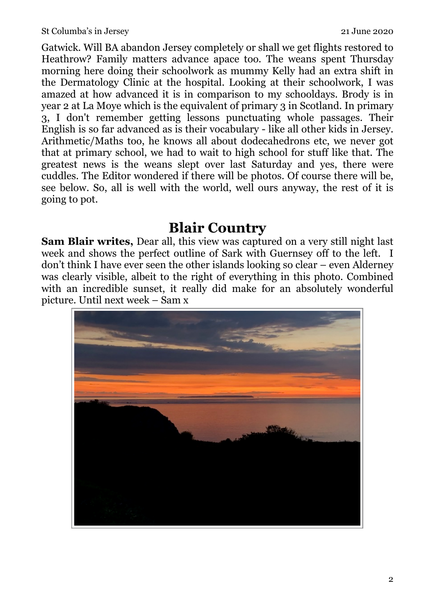Gatwick. Will BA abandon Jersey completely or shall we get flights restored to Heathrow? Family matters advance apace too. The weans spent Thursday morning here doing their schoolwork as mummy Kelly had an extra shift in the Dermatology Clinic at the hospital. Looking at their schoolwork, I was amazed at how advanced it is in comparison to my schooldays. Brody is in year 2 at La Moye which is the equivalent of primary 3 in Scotland. In primary 3, I don't remember getting lessons punctuating whole passages. Their English is so far advanced as is their vocabulary - like all other kids in Jersey. Arithmetic/Maths too, he knows all about dodecahedrons etc, we never got that at primary school, we had to wait to high school for stuff like that. The greatest news is the weans slept over last Saturday and yes, there were cuddles. The Editor wondered if there will be photos. Of course there will be, see below. So, all is well with the world, well ours anyway, the rest of it is going to pot.

#### **Blair Country**

**Sam Blair writes,** Dear all, this view was captured on a very still night last week and shows the perfect outline of Sark with Guernsey off to the left. I don't think I have ever seen the other islands looking so clear – even Alderney was clearly visible, albeit to the right of everything in this photo. Combined with an incredible sunset, it really did make for an absolutely wonderful picture. Until next week – Sam x

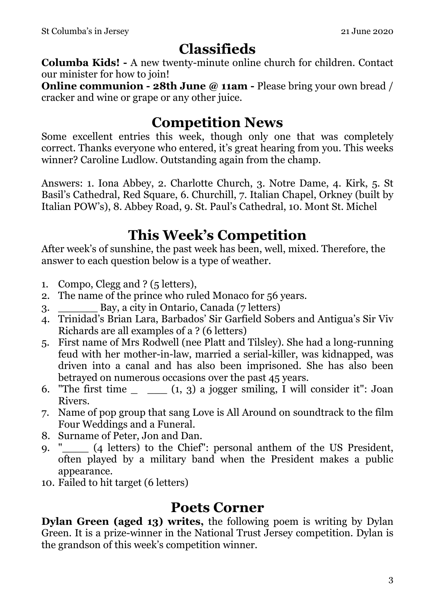## **Classifieds**

**Columba Kids! -** A new twenty-minute online church for children. Contact our minister for how to join!

**Online communion - 28th June @ 11am - Please bring your own bread /** cracker and wine or grape or any other juice.

## **Competition News**

Some excellent entries this week, though only one that was completely correct. Thanks everyone who entered, it's great hearing from you. This weeks winner? Caroline Ludlow. Outstanding again from the champ.

Answers: 1. Iona Abbey, 2. Charlotte Church, 3. Notre Dame, 4. Kirk, 5. St Basil's Cathedral, Red Square, 6. Churchill, 7. Italian Chapel, Orkney (built by Italian POW's), 8. Abbey Road, 9. St. Paul's Cathedral, 10. Mont St. Michel

## **This Week's Competition**

After week's of sunshine, the past week has been, well, mixed. Therefore, the answer to each question below is a type of weather.

- 1. Compo, Clegg and ? (5 letters),
- 2. The name of the prince who ruled Monaco for 56 years.
- 3. \_\_\_\_\_\_ Bay, a city in Ontario, Canada (7 letters)
- 4. Trinidad's Brian Lara, Barbados' Sir Garfield Sobers and Antigua's Sir Viv Richards are all examples of a ? (6 letters)
- 5. First name of Mrs Rodwell (nee Platt and Tilsley). She had a long-running feud with her mother-in-law, married a serial-killer, was kidnapped, was driven into a canal and has also been imprisoned. She has also been betrayed on numerous occasions over the past 45 years.
- 6. "The first time  $\_\_$  (1, 3) a jogger smiling, I will consider it": Joan Rivers.
- 7. Name of pop group that sang Love is All Around on soundtrack to the film Four Weddings and a Funeral.
- 8. Surname of Peter, Jon and Dan.
- 9. "\_\_\_\_ (4 letters) to the Chief": personal anthem of the US President, often played by a military band when the President makes a public appearance.
- 10. Failed to hit target (6 letters)

#### **Poets Corner**

**Dylan Green (aged 13) writes,** the following poem is writing by Dylan Green. It is a prize-winner in the National Trust Jersey competition. Dylan is the grandson of this week's competition winner.